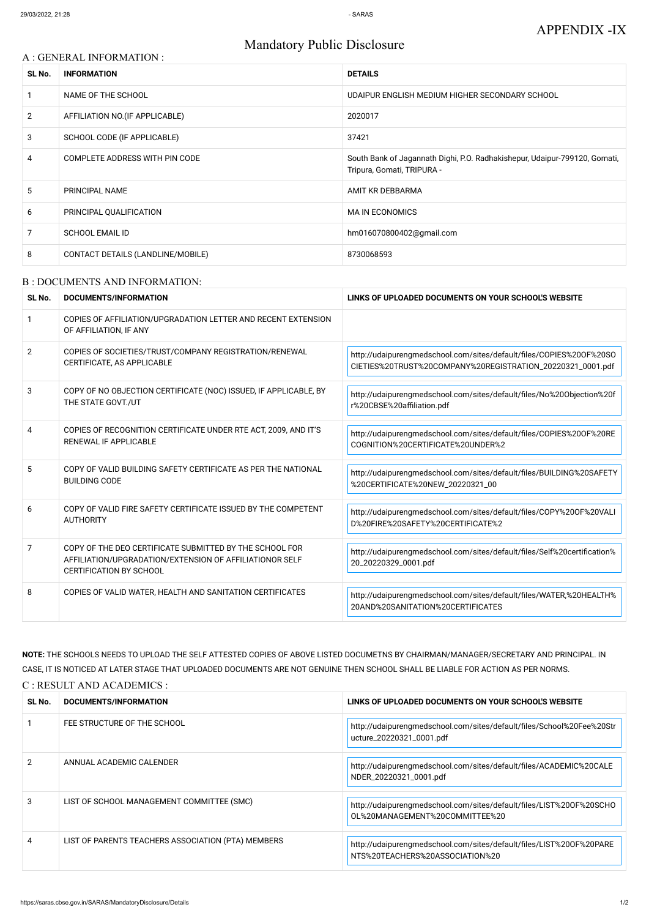# Mandatory Public Disclosure

### A : GENERAL INFORMATION :

| SL No.         | <b>INFORMATION</b>                | <b>DETAILS</b>                                                                                           |
|----------------|-----------------------------------|----------------------------------------------------------------------------------------------------------|
|                | NAME OF THE SCHOOL                | UDAIPUR ENGLISH MEDIUM HIGHER SECONDARY SCHOOL                                                           |
| $\overline{2}$ | AFFILIATION NO. (IF APPLICABLE)   | 2020017                                                                                                  |
| 3              | SCHOOL CODE (IF APPLICABLE)       | 37421                                                                                                    |
| 4              | COMPLETE ADDRESS WITH PIN CODE    | South Bank of Jagannath Dighi, P.O. Radhakishepur, Udaipur-799120, Gomati,<br>Tripura, Gomati, TRIPURA - |
| 5              | PRINCIPAL NAME                    | AMIT KR DEBBARMA                                                                                         |
| 6              | PRINCIPAL QUALIFICATION           | <b>MAIN ECONOMICS</b>                                                                                    |
| 7              | <b>SCHOOL EMAIL ID</b>            | hm016070800402@gmail.com                                                                                 |
| 8              | CONTACT DETAILS (LANDLINE/MOBILE) | 8730068593                                                                                               |

### B : DOCUMENTS AND INFORMATION:

| SL No.         | <b>DOCUMENTS/INFORMATION</b>                                                                                                                         | LINKS OF UPLOADED DOCUMENTS ON YOUR SCHOOL'S WEBSITE                                                                              |
|----------------|------------------------------------------------------------------------------------------------------------------------------------------------------|-----------------------------------------------------------------------------------------------------------------------------------|
|                | COPIES OF AFFILIATION/UPGRADATION LETTER AND RECENT EXTENSION<br>OF AFFILIATION, IF ANY                                                              |                                                                                                                                   |
| $\overline{2}$ | COPIES OF SOCIETIES/TRUST/COMPANY REGISTRATION/RENEWAL<br>CERTIFICATE, AS APPLICABLE                                                                 | http://udaipurengmedschool.com/sites/default/files/COPIES%200F%20SO<br>CIETIES%20TRUST%20COMPANY%20REGISTRATION_20220321_0001.pdf |
| 3              | COPY OF NO OBJECTION CERTIFICATE (NOC) ISSUED, IF APPLICABLE, BY<br>THE STATE GOVT./UT                                                               | http://udaipurengmedschool.com/sites/default/files/No%200bjection%20f<br>r%20CBSE%20affiliation.pdf                               |
| 4              | COPIES OF RECOGNITION CERTIFICATE UNDER RTE ACT, 2009, AND IT'S<br><b>RENEWAL IF APPLICABLE</b>                                                      | http://udaipurengmedschool.com/sites/default/files/COPIES%20OF%20RE<br>COGNITION%20CERTIFICATE%20UNDER%2                          |
| 5              | COPY OF VALID BUILDING SAFETY CERTIFICATE AS PER THE NATIONAL<br><b>BUILDING CODE</b>                                                                | http://udaipurengmedschool.com/sites/default/files/BUILDING%20SAFETY<br>%20CERTIFICATE%20NEW_20220321_00                          |
| 6              | COPY OF VALID FIRE SAFETY CERTIFICATE ISSUED BY THE COMPETENT<br><b>AUTHORITY</b>                                                                    | http://udaipurengmedschool.com/sites/default/files/COPY%20OF%20VALI<br>D%20FIRE%20SAFETY%20CERTIFICATE%2                          |
| 7              | COPY OF THE DEO CERTIFICATE SUBMITTED BY THE SCHOOL FOR<br>AFFILIATION/UPGRADATION/EXTENSION OF AFFILIATIONOR SELF<br><b>CERTIFICATION BY SCHOOL</b> | http://udaipurengmedschool.com/sites/default/files/Self%20certification%<br>20_20220329_0001.pdf                                  |
| 8              | COPIES OF VALID WATER, HEALTH AND SANITATION CERTIFICATES                                                                                            | http://udaipurengmedschool.com/sites/default/files/WATER,%20HEALTH%<br>20AND%20SANITATION%20CERTIFICATES                          |

**NOTE:** THE SCHOOLS NEEDS TO UPLOAD THE SELF ATTESTED COPIES OF ABOVE LISTED DOCUMETNS BY CHAIRMAN/MANAGER/SECRETARY AND PRINCIPAL. IN CASE, IT IS NOTICED AT LATER STAGE THAT UPLOADED DOCUMENTS ARE NOT GENUINE THEN SCHOOL SHALL BE LIABLE FOR ACTION AS PER NORMS. C : RESULT AND ACADEMICS :

| SL No.        | DOCUMENTS/INFORMATION                              | LINKS OF UPLOADED DOCUMENTS ON YOUR SCHOOL'S WEBSITE                                                   |
|---------------|----------------------------------------------------|--------------------------------------------------------------------------------------------------------|
|               | FEE STRUCTURE OF THE SCHOOL                        | http://udaipurengmedschool.com/sites/default/files/School%20Fee%20Str<br>ucture_20220321_0001.pdf      |
| $\mathcal{P}$ | ANNUAL ACADEMIC CALENDER                           | http://udaipurengmedschool.com/sites/default/files/ACADEMIC%20CALE<br>NDER_20220321_0001.pdf           |
| 3             | LIST OF SCHOOL MANAGEMENT COMMITTEE (SMC)          | http://udaipurengmedschool.com/sites/default/files/LIST%200F%20SCHO<br>OL%20MANAGEMENT%20COMMITTEE%20  |
| 4             | LIST OF PARENTS TEACHERS ASSOCIATION (PTA) MEMBERS | http://udaipurengmedschool.com/sites/default/files/LIST%200F%20PARE<br>NTS%20TEACHERS%20ASSOCIATION%20 |